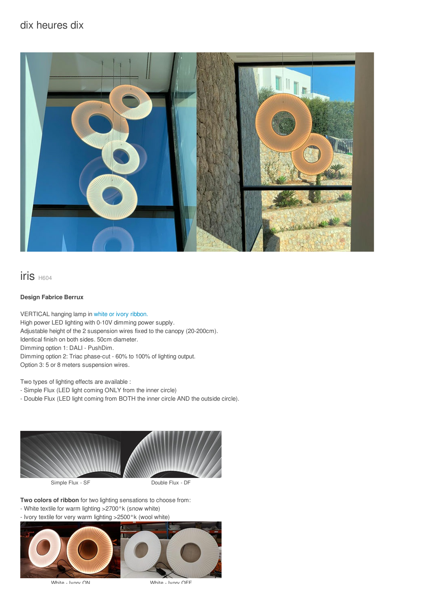# dix heures dix



iris H604

#### **Design Fabrice Berrux**

VERTICAL hanging lamp in white or ivory [ribbon.](/files/documents/compo/iris-blanc-ivoire.jpg) High power LED lighting with 0-10V dimming power supply. Adjustable height of the 2 suspension wires fixed to the canopy (20-200cm). Identical finish on both sides. 50cm diameter. Dimming option 1: DALI - PushDim. Dimming option 2: Triac phase-cut - 60% to 100% of lighting output. Option 3: 5 or 8 meters suspension wires.

Two types of lighting effects are available :

- Simple Flux (LED light coming ONLY from the inner circle)

- Double Flux (LED light coming from BOTH the inner circle AND the outside circle).



**Two colors of ribbon** for two lighting sensations to choose from:

- White textile for warm lighting >2700°k (snow white)
- Ivory textile for very warm lighting >2500°k (wool white)



White - Ivory ON White - Ivory OFF